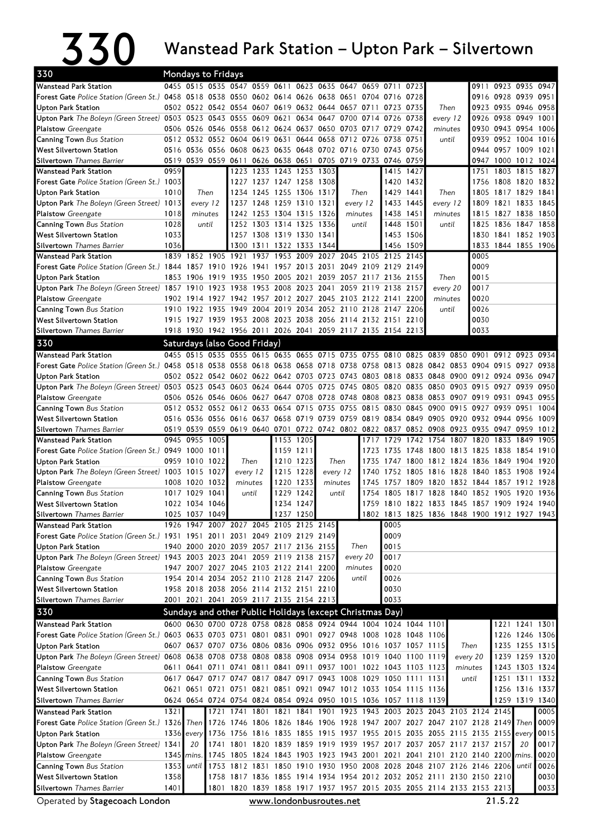## $\bf 330$  Wanstead Park Station – Upton Park – Silvertown

| 330<br>Mondays to Fridays<br>0455 0515 0535 0547 0559 0611<br>0623 0635 0647<br>0923 0935 0947          |              |                               |           |                          |                                                                                    |      |                                       |      |                                                                  |           |                                                             |                        |                                                                                         |          |           |                             |                |                                  |  |  |
|---------------------------------------------------------------------------------------------------------|--------------|-------------------------------|-----------|--------------------------|------------------------------------------------------------------------------------|------|---------------------------------------|------|------------------------------------------------------------------|-----------|-------------------------------------------------------------|------------------------|-----------------------------------------------------------------------------------------|----------|-----------|-----------------------------|----------------|----------------------------------|--|--|
| <b>Wanstead Park Station</b>                                                                            |              |                               |           |                          |                                                                                    |      |                                       |      |                                                                  | 0659 0711 |                                                             | 0723                   |                                                                                         |          | 0911      |                             |                |                                  |  |  |
| Forest Gate Police Station (Green St.) 0458 0518 0538 0550 0602 0614 0626 0638 0651 0704 0716 0728      |              |                               |           |                          |                                                                                    |      |                                       |      |                                                                  |           |                                                             |                        |                                                                                         |          |           | 0916 0928                   | 0939 0951      |                                  |  |  |
| Upton Park Station                                                                                      |              |                               |           |                          |                                                                                    |      |                                       |      | 0502 0522 0542 0554 0607 0619 0632 0644 0657 0711 0723 0735      |           |                                                             |                        | Then                                                                                    |          |           | 0923 0935 0946 0958         |                |                                  |  |  |
| Upton Park The Boleyn (Green Street) 0503 0523 0543 0555 0609 0621                                      |              |                               |           |                          |                                                                                    |      |                                       |      | 0634 0647 0700                                                   |           | 0714 0726 0738                                              |                        | every 12<br>minutes<br>until                                                            |          |           | 0926 0938 0949              |                | 1001                             |  |  |
| <b>Plaistow</b> Greengate                                                                               |              |                               |           |                          |                                                                                    |      |                                       |      | 0506 0526 0546 0558 0612 0624 0637 0650 0703 0717 0729 0742      |           |                                                             |                        |                                                                                         |          |           | 0930 0943 0954              |                | 1006                             |  |  |
| Canning Town Bus Station                                                                                |              |                               |           |                          | 0512 0532 0552 0604 0619 0631                                                      |      |                                       |      | 0644 0658 0712                                                   |           | 0726 0738 0751                                              |                        |                                                                                         |          |           | 0939 0952 1004 1016         |                |                                  |  |  |
| <b>West Silvertown Station</b>                                                                          |              |                               |           |                          |                                                                                    |      |                                       |      | 0516 0536 0556 0608 0623 0635 0648 0702 0716 0730 0743 0756      |           |                                                             |                        |                                                                                         |          |           | 0944 0957 1009 1021         |                |                                  |  |  |
| <b>Silvertown</b> Thames Barrier                                                                        | 0519         | 0539 0559 0611 0626 0638 0651 |           |                          |                                                                                    |      |                                       |      | 0705 0719 0733 0746 0759                                         |           |                                                             |                        |                                                                                         |          |           | 0947 1000                   | 1012           | 1024                             |  |  |
| <b>Wanstead Park Station</b>                                                                            | 0959         |                               |           |                          | 1223 1233 1243 1253 1303                                                           |      |                                       |      |                                                                  |           |                                                             | 1415 1427              |                                                                                         |          | 1751      | 1803                        | 1815           | 1827                             |  |  |
| Forest Gate Police Station (Green St.) 1003                                                             |              |                               |           | 1227<br>1234             |                                                                                    |      | 1237 1247 1258 1308<br>1255 1306 1317 |      |                                                                  |           |                                                             | 1420 1432<br>1429 1441 |                                                                                         |          |           | 1756 1808<br>1805 1817 1829 | 1820           | 1832<br>1841                     |  |  |
| <b>Upton Park Station</b><br>Upton Park The Boleyn (Green Street) 1013                                  | 1010         | Then<br>every 12              |           |                          | 1245<br>1237 1248 1259 1310 1321                                                   |      |                                       |      | Then<br>every 12                                                 |           |                                                             | 1433 1445              | Then<br>every 12                                                                        |          |           | 1809 1821 1833              |                | 1845                             |  |  |
| <b>Plaistow</b> Greengate                                                                               | 1018         | minutes                       |           |                          | 1242 1253 1304 1315 1326                                                           |      |                                       |      | minutes                                                          |           |                                                             | 1438 1451              | minutes                                                                                 |          |           | 1815 1827 1838              |                | 1850                             |  |  |
| Canning Town Bus Station                                                                                | 1028         |                               | until     |                          | 1252 1303 1314 1325 1336                                                           |      |                                       |      |                                                                  | until     |                                                             | 1448 1501              | until                                                                                   |          |           | 1825 1836                   | 1847           | 1858                             |  |  |
| <b>West Silvertown Station</b>                                                                          | 1033         |                               |           |                          | 1257 1308 1319 1330 1341                                                           |      |                                       |      |                                                                  |           |                                                             | 1453 1506              |                                                                                         |          |           | 1830 1841 1852 1903         |                |                                  |  |  |
| <b>Silvertown</b> Thames Barrier                                                                        | 1036         |                               |           |                          | 1300 1311 1322 1333                                                                |      |                                       | 1344 |                                                                  |           |                                                             | 1456 1509              |                                                                                         |          | 1833      | 1844 1855 1906              |                |                                  |  |  |
| <b>Wanstead Park Station</b>                                                                            |              | 1839 1852                     | 1905      | 1921                     | 1937                                                                               | 1953 | 2009                                  | 2027 | 2045                                                             | 2105      | 2125 2145                                                   |                        |                                                                                         |          | 0005      |                             |                |                                  |  |  |
| <b>Forest Gate Police Station (Green St.) 1844</b>                                                      |              | 1857                          |           | 1910 1926                | 1941                                                                               | 1957 | 2013 2031                             |      | 2049                                                             | 2109      | 2129 2149                                                   |                        |                                                                                         |          | 0009      |                             |                |                                  |  |  |
| Upton Park Station                                                                                      |              | 1853 1906                     | 1919 1935 |                          | 1950                                                                               | 2005 | 2021                                  | 2039 | 2057 2117 2136 2155                                              |           |                                                             |                        | Then                                                                                    |          | 0015      |                             |                |                                  |  |  |
| Upton Park The Boleyn (Green Street) 1857 1910                                                          |              |                               |           | 1923 1938                | 1953                                                                               |      | 2008 2023 2041                        |      |                                                                  |           | 2059 2119 2138 2157                                         |                        | every 20                                                                                |          | 0017      |                             |                |                                  |  |  |
| <b>Plaistow</b> Greengate                                                                               |              |                               |           |                          |                                                                                    |      |                                       |      |                                                                  |           | 1902 1914 1927 1942 1957 2012 2027 2045 2103 2122 2141 2200 |                        | minutes                                                                                 |          | 0020      |                             |                |                                  |  |  |
| <b>Canning Town Bus Station</b>                                                                         |              |                               |           |                          |                                                                                    |      |                                       |      | 1910 1922 1935 1949 2004 2019 2034 2052 2110 2128 2147 2206      |           |                                                             |                        | until                                                                                   |          | 0026      |                             |                |                                  |  |  |
| <b>West Silvertown Station</b>                                                                          |              |                               |           |                          |                                                                                    |      |                                       |      | 1915 1927 1939 1953 2008 2023 2038 2056 2114 2132 2151 2210      |           |                                                             |                        |                                                                                         |          | 0030      |                             |                |                                  |  |  |
| <b>Silvertown</b> Thames Barrier                                                                        |              |                               |           |                          |                                                                                    |      |                                       |      | 1918 1930 1942 1956 2011 2026 2041 2059 2117 2135 2154 2213      |           |                                                             |                        |                                                                                         |          | 0033      |                             |                |                                  |  |  |
| 330                                                                                                     |              |                               |           |                          | Saturdays (also Good Friday)                                                       |      |                                       |      |                                                                  |           |                                                             |                        |                                                                                         |          |           |                             |                |                                  |  |  |
| <b>Wanstead Park Station</b>                                                                            |              | 0455 0515                     |           |                          |                                                                                    |      |                                       |      | 0535 0555 0615 0635 0655 0715 0735 0755 0810                     |           |                                                             | 0825                   | 0839 0850                                                                               |          | 0901      | 0912                        | 0923           | 0934                             |  |  |
| <b>Forest Gate</b> Police Station (Green St.)                                                           |              |                               |           |                          |                                                                                    |      |                                       |      | 0458 0518 0538 0558 0618 0638 0658 0718 0738 0758 0813 0828      |           |                                                             |                        | 0842 0853 0904 0915                                                                     |          |           |                             | 0927           | 0938                             |  |  |
| <b>Upton Park Station</b>                                                                               |              |                               |           |                          | 0502 0522 0542 0602 0622 0642 0703 0723 0743                                       |      |                                       |      |                                                                  |           | 0803 0818 0833                                              |                        | 0848 0900 0912 0924 0936                                                                |          |           |                             |                | 0947                             |  |  |
| Upton Park The Boleyn (Green Street) 0503 0523 0543 0603 0624 0644 0705 0725 0745                       |              |                               |           |                          |                                                                                    |      |                                       |      |                                                                  |           | 0805 0820 0835                                              |                        | 0850 0903 0915 0927                                                                     |          |           |                             | 0939           | 0950                             |  |  |
| Plaistow Greengate                                                                                      |              |                               |           | 0506 0526 0546 0606 0627 |                                                                                    |      | 0647 0708 0728 0748                   |      |                                                                  |           | 0808 0823 0838                                              |                        | 0853 0907                                                                               |          | 0919 0931 |                             | 0943           | 0955                             |  |  |
| <b>Canning Town Bus Station</b><br>West Silvertown Station                                              |              |                               |           |                          | 0512 0532 0552 0612 0633                                                           | 0654 | 0715 0735 0755                        |      |                                                                  | 0815      | 0830                                                        | 0845                   | 0900<br>0516 0536 0556 0616 0637 0658 0719 0739 0759 0819 0834 0849 0905 0920 0932 0944 | 0915     | 0927 0939 |                             | 0951<br>0956   | 1004<br>1009                     |  |  |
| <b>Silvertown</b> Thames Barrier                                                                        |              |                               |           |                          |                                                                                    |      |                                       |      | 0519 0539 0559 0619 0640 0701 0722 0742 0802 0822 0837 0852      |           |                                                             |                        | 0908 0923                                                                               |          |           | 0935 0947 0959              |                | 1012                             |  |  |
| <b>Wanstead Park Station</b>                                                                            |              | 0945 0955                     | 1005      |                          |                                                                                    |      | 1153 1205                             |      |                                                                  | 1717      | 1729                                                        | 1742                   | 1754                                                                                    | 1807     | 1820      | 1833                        | 1849           | 1905                             |  |  |
| <b>Forest Gate Police Station (Green St.) 0949 1000 1011</b>                                            |              |                               |           |                          |                                                                                    |      | 1159 1211                             |      |                                                                  | 1723      | 1735 1748                                                   |                        | 1800 1813 1825 1838                                                                     |          |           |                             | 1854           | 1910                             |  |  |
| <b>Upton Park Station</b>                                                                               |              | 0959 1010 1022                |           |                          | Then                                                                               |      | 1210 1223                             |      | Then                                                             | 1735      | 1747 1800                                                   |                        | 1812 1824 1836 1849                                                                     |          |           |                             | 1904           | 1920                             |  |  |
| Upton Park The Boleyn (Green Street) 1003 1015 1027                                                     |              |                               |           |                          | every 12                                                                           |      | 1215 1228                             |      | every 12                                                         |           | 1740 1752 1805                                              |                        | 1816 1828 1840 1853 1908                                                                |          |           |                             |                | 1924                             |  |  |
| <b>Plaistow</b> Greengate                                                                               |              | 1008 1020                     | 1032      | minutes                  |                                                                                    |      | 1220 1233                             |      | minutes                                                          | 1745      | 1757                                                        | 1809                   | 1820                                                                                    | 1832     | 1844 1857 |                             | 1912           | 1928                             |  |  |
| <b>Canning Town</b> Bus Station                                                                         |              | 1017 1029                     | 1041      | until                    |                                                                                    |      | 1229 1242                             |      | until                                                            |           | 1754 1805                                                   | 1817                   | 1828                                                                                    | 1840     | 1852 1905 |                             | 1920           | 1936                             |  |  |
| West Silvertown Station                                                                                 |              | 1022 1034 1046                |           |                          |                                                                                    |      | 1234 1247                             |      |                                                                  |           |                                                             |                        | 1759 1810 1822 1833 1845 1857 1909 1924 1940                                            |          |           |                             |                |                                  |  |  |
| Silvertown Thames Barrier                                                                               |              | 1025 1037 1049                |           |                          |                                                                                    |      | 1237 1250                             |      |                                                                  |           |                                                             |                        | 1802 1813 1825 1836 1848 1900 1912 1927 1943                                            |          |           |                             |                |                                  |  |  |
| <b>Wanstead Park Station</b>                                                                            |              |                               |           |                          | 1926 1947 2007 2027 2045 2105 2125 2145                                            |      |                                       |      |                                                                  |           | 0005                                                        |                        |                                                                                         |          |           |                             |                |                                  |  |  |
| <b>Forest Gate Police Station (Green St.) 1931 1951 2011 2031 2049 2109 2129 2149</b>                   |              |                               |           |                          |                                                                                    |      |                                       |      |                                                                  |           | 0009                                                        |                        |                                                                                         |          |           |                             |                |                                  |  |  |
| <b>Upton Park Station</b>                                                                               |              |                               |           |                          | 1940 2000 2020 2039 2057 2117 2136 2155                                            |      |                                       |      | Then                                                             |           | 0015                                                        |                        |                                                                                         |          |           |                             |                |                                  |  |  |
| Upton Park The Boleyn (Green Street) 1943 2003 2023 2041 2059 2119 2138 2157                            |              |                               |           |                          |                                                                                    |      |                                       |      |                                                                  | every 20  | 0017                                                        |                        |                                                                                         |          |           |                             |                |                                  |  |  |
| <b>Plaistow</b> Greengate                                                                               |              |                               |           |                          | 1947 2007 2027 2045 2103 2122 2141 2200                                            |      |                                       |      | minutes                                                          |           | 0020                                                        |                        |                                                                                         |          |           |                             |                |                                  |  |  |
| Canning Town Bus Station<br>West Silvertown Station                                                     |              |                               |           |                          | 1954 2014 2034 2052 2110 2128 2147 2206<br>1958 2018 2038 2056 2114 2132 2151 2210 |      |                                       |      |                                                                  | until     | 0026<br>0030                                                |                        |                                                                                         |          |           |                             |                |                                  |  |  |
| <b>Silvertown</b> Thames Barrier                                                                        |              |                               |           |                          | 2001 2021 2041 2059 2117 2135 2154 2213                                            |      |                                       |      |                                                                  |           | 0033                                                        |                        |                                                                                         |          |           |                             |                |                                  |  |  |
| 330                                                                                                     |              |                               |           |                          |                                                                                    |      |                                       |      | Sundays and other Public Holidays (except Christmas Day)         |           |                                                             |                        |                                                                                         |          |           |                             |                |                                  |  |  |
| <b>Wanstead Park Station</b>                                                                            |              |                               |           |                          |                                                                                    |      |                                       |      | 0600 0630 0700 0728 0758 0828 0858 0924 0944 1004 1024 1044 1101 |           |                                                             |                        |                                                                                         |          |           |                             |                |                                  |  |  |
| Forest Gate Police Station (Green St.) 0603 0633 0703 0731 0801 0831 0901 0927 0948 1008 1028 1048 1106 |              |                               |           |                          |                                                                                    |      |                                       |      |                                                                  |           |                                                             |                        |                                                                                         |          |           |                             |                | 1221 1241 1301<br>1226 1246 1306 |  |  |
| <b>Upton Park Station</b>                                                                               |              |                               |           |                          |                                                                                    |      |                                       |      | 0607 0637 0707 0736 0806 0836 0906 0932 0956 1016 1037 1057 1115 |           |                                                             |                        |                                                                                         | Then     |           |                             |                | 1235 1255 1315                   |  |  |
| Upton Park The Boleyn (Green Street) 0608 0638 0708 0738 0808 0838 0908 0934 0958 1019 1040 1100 1119   |              |                               |           |                          |                                                                                    |      |                                       |      |                                                                  |           |                                                             |                        |                                                                                         | every 20 |           |                             |                | 1239 1259 1320                   |  |  |
| <b>Plaistow</b> Greengate                                                                               |              |                               |           |                          |                                                                                    |      |                                       |      | 0611 0641 0711 0741 0811 0841 0911 0937 1001 1022 1043 1103 1123 |           |                                                             |                        |                                                                                         | minutes  |           |                             |                | 1243 1303 1324                   |  |  |
| Canning Town Bus Station                                                                                |              |                               |           |                          |                                                                                    |      |                                       |      | 0617 0647 0717 0747 0817 0847 0917 0943 1008 1029 1050 1111 1131 |           |                                                             |                        |                                                                                         | until    |           |                             | 1251 1311 1332 |                                  |  |  |
| <b>West Silvertown Station</b>                                                                          |              |                               |           |                          |                                                                                    |      |                                       |      | 0621 0651 0721 0751 0821 0851 0921 0947 1012 1033 1054 1115 1136 |           |                                                             |                        |                                                                                         |          |           |                             | 1256 1316 1337 |                                  |  |  |
| <b>Silvertown</b> Thames Barrier                                                                        |              |                               |           |                          |                                                                                    |      |                                       |      | 0624 0654 0724 0754 0824 0854 0924 0950 1015 1036 1057 1118 1139 |           |                                                             |                        |                                                                                         |          |           |                             | 1259 1319 1340 |                                  |  |  |
| <b>Wanstead Park Station</b>                                                                            | 1321         |                               |           |                          |                                                                                    |      |                                       |      |                                                                  |           |                                                             |                        | 1721 1741 1801 1821 1841 1901 1923 1943 2003 2023 2043 2103 2124 2145                   |          |           |                             |                | 0005                             |  |  |
| <b>Forest Gate Police Station (Green St.) 1326 Then</b>                                                 |              |                               |           |                          |                                                                                    |      |                                       |      |                                                                  |           |                                                             |                        | 1726 1746 1806 1826 1846 1906 1928 1947 2007 2027 2047 2107 2128 2149 Then              |          |           |                             |                | 0009                             |  |  |
| <b>Upton Park Station</b>                                                                               |              | $1336$ every                  |           |                          |                                                                                    |      |                                       |      |                                                                  |           |                                                             |                        | 1736 1756 1816 1835 1855 1915 1937 1955 2015 2035 2055 2115 2135 2155 every             |          |           |                             |                | 0015                             |  |  |
| Upton Park The Boleyn (Green Street) 1341                                                               |              | 20                            |           |                          |                                                                                    |      |                                       |      |                                                                  |           |                                                             |                        | 1741 1801 1820 1839 1859 1919 1939 1957 2017 2037 2057 2117 2137 2157                   |          |           |                             | 20             | 0017                             |  |  |
| <b>Plaistow</b> Greengate                                                                               | $1345$ mins. |                               |           |                          |                                                                                    |      |                                       |      |                                                                  |           |                                                             |                        | 1745 1805 1824 1843 1903 1923 1943 2001 2021 2041 2101 2120 2140 2200 mins.             |          |           |                             |                | 0020                             |  |  |
| Canning Town Bus Station                                                                                | 1353         | until                         |           |                          |                                                                                    |      |                                       |      |                                                                  |           |                                                             |                        | 1753 1812 1831 1850 1910 1930 1950 2008 2028 2048 2107 2126 2146 2206 until             |          |           |                             |                | 0026                             |  |  |
| West Silvertown Station                                                                                 | 1358         |                               |           |                          |                                                                                    |      |                                       |      |                                                                  |           |                                                             |                        | 1758 1817 1836 1855 1914 1934 1954 2012 2032 2052 2111 2130 2150 2210                   |          |           |                             |                | 0030                             |  |  |
| <b>Silvertown</b> Thames Barrier                                                                        | 1401         |                               |           |                          |                                                                                    |      |                                       |      |                                                                  |           |                                                             |                        | 1801 1820 1839 1858 1917 1937 1957 2015 2035 2055 2114 2133 2153 2213                   |          |           |                             |                | 0033                             |  |  |
| Operated by Stagecoach London                                                                           |              |                               |           | www.londonbusroutes.net  |                                                                                    |      |                                       |      |                                                                  |           |                                                             |                        | 21.5.22                                                                                 |          |           |                             |                |                                  |  |  |